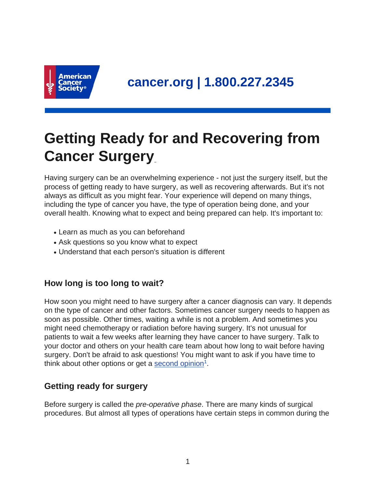

# **Getting Ready for and Recovering from Cancer Surgery**

Having surgery can be an overwhelming experience - not just the surgery itself, but the process of getting ready to have surgery, as well as recovering afterwards. But it's not always as difficult as you might fear. Your experience will depend on many things, including the type of cancer you have, the type of operation being done, and your overall health. Knowing what to expect and being prepared can help. It's important to:

- Learn as much as you can beforehand
- Ask questions so you know what to expect
- Understand that each person's situation is different

# **How long is too long to wait?**

How soon you might need to have surgery after a cancer diagnosis can vary. It depends on the type of cancer and other factors. Sometimes cancer surgery needs to happen as soon as possible. Other times, waiting a while is not a problem. And sometimes you might need chemotherapy or radiation before having surgery. It's not unusual for patients to wait a few weeks after learning they have cancer to have surgery. Talk to your doctor and others on your health care team about how long to wait before having surgery. Don't be afraid to ask questions! You might want to ask if you have time to think about other options or get a [second opinion](https://www.cancer.org/treatment/finding-and-paying-for-treatment/choosing-your-treatment-team/seeking-a-second-opinion.html)<sup>1</sup>.

# **Getting ready for surgery**

Before surgery is called the *pre-operative phase*. There are many kinds of surgical procedures. But almost all types of operations have certain steps in common during the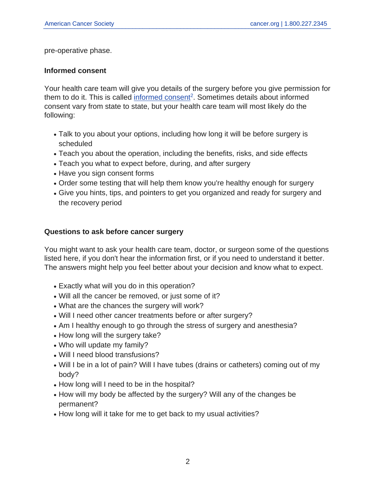pre-operative phase.

### **Informed consent**

Your health care team will give you details of the surgery before you give permission for them to do it. This is called [informed consent](https://www.cancer.org/treatment/finding-and-paying-for-treatment/understanding-financial-and-legal-matters/informed-consent.html)<sup>2</sup>. Sometimes details about informed consent vary from state to state, but your health care team will most likely do the following:

- Talk to you about your options, including how long it will be before surgery is scheduled
- Teach you about the operation, including the benefits, risks, and side effects
- Teach you what to expect before, during, and after surgery
- Have you sign consent forms
- Order some testing that will help them know you're healthy enough for surgery
- Give you hints, tips, and pointers to get you organized and ready for surgery and the recovery period

### **Questions to ask before cancer surgery**

You might want to ask your health care team, doctor, or surgeon some of the questions listed here, if you don't hear the information first, or if you need to understand it better. The answers might help you feel better about your decision and know what to expect.

- Exactly what will you do in this operation?
- Will all the cancer be removed, or just some of it?
- What are the chances the surgery will work?
- Will I need other cancer treatments before or after surgery?
- Am I healthy enough to go through the stress of surgery and anesthesia?
- How long will the surgery take?
- Who will update my family?
- Will I need blood transfusions?
- Will I be in a lot of pain? Will I have tubes (drains or catheters) coming out of my body?
- How long will I need to be in the hospital?
- How will my body be affected by the surgery? Will any of the changes be permanent?
- How long will it take for me to get back to my usual activities?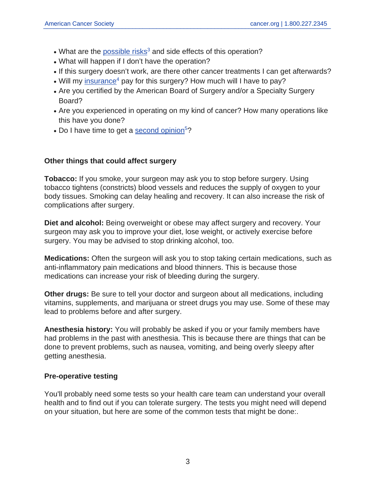- $\bullet$  What are the [possible risks](https://www.cancer.org/treatment/treatments-and-side-effects/treatment-types/surgery/risks-of-cancer-surgery.html)<sup>3</sup> and side effects of this operation?
- What will happen if I don't have the operation?
- If this surgery doesn't work, are there other cancer treatments I can get afterwards?
- Will my [insurance](https://www.cancer.org/treatment/finding-and-paying-for-treatment/understanding-health-insurance.html)<sup>4</sup> pay for this surgery? How much will I have to pay?
- Are you certified by the American Board of Surgery and/or a Specialty Surgery Board?
- Are you experienced in operating on my kind of cancer? How many operations like this have you done?
- Do I have time to get a [second opinion](https://www.cancer.org/treatment/finding-and-paying-for-treatment/choosing-your-treatment-team/seeking-a-second-opinion.html)<sup>5</sup>?

## **Other things that could affect surgery**

**Tobacco:** If you smoke, your surgeon may ask you to stop before surgery. Using tobacco tightens (constricts) blood vessels and reduces the supply of oxygen to your body tissues. Smoking can delay healing and recovery. It can also increase the risk of complications after surgery.

**Diet and alcohol:** Being overweight or obese may affect surgery and recovery. Your surgeon may ask you to improve your diet, lose weight, or actively exercise before surgery. You may be advised to stop drinking alcohol, too.

**Medications:** Often the surgeon will ask you to stop taking certain medications, such as anti-inflammatory pain medications and blood thinners. This is because those medications can increase your risk of bleeding during the surgery.

**Other drugs:** Be sure to tell your doctor and surgeon about all medications, including vitamins, supplements, and marijuana or street drugs you may use. Some of these may lead to problems before and after surgery.

**Anesthesia history:** You will probably be asked if you or your family members have had problems in the past with anesthesia. This is because there are things that can be done to prevent problems, such as nausea, vomiting, and being overly sleepy after getting anesthesia.

### **Pre-operative testing**

You'll probably need some tests so your health care team can understand your overall health and to find out if you can tolerate surgery. The tests you might need will depend on your situation, but here are some of the common tests that might be done:.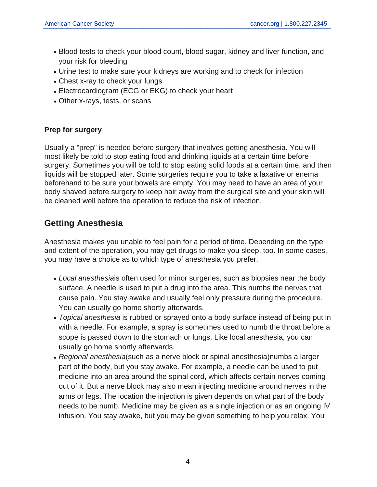- Blood tests to check your blood count, blood sugar, kidney and liver function, and your risk for bleeding
- Urine test to make sure your kidneys are working and to check for infection
- Chest x-ray to check your lungs
- Electrocardiogram (ECG or EKG) to check your heart
- Other x-rays, tests, or scans

## **Prep for surgery**

Usually a "prep" is needed before surgery that involves getting anesthesia. You will most likely be told to stop eating food and drinking liquids at a certain time before surgery. Sometimes you will be told to stop eating solid foods at a certain time, and then liquids will be stopped later. Some surgeries require you to take a laxative or enema beforehand to be sure your bowels are empty. You may need to have an area of your body shaved before surgery to keep hair away from the surgical site and your skin will be cleaned well before the operation to reduce the risk of infection.

# **Getting Anesthesia**

Anesthesia makes you unable to feel pain for a period of time. Depending on the type and extent of the operation, you may get drugs to make you sleep, too. In some cases, you may have a choice as to which type of anesthesia you prefer.

- Local anesthesiais often used for minor surgeries, such as biopsies near the body surface. A needle is used to put a drug into the area. This numbs the nerves that cause pain. You stay awake and usually feel only pressure during the procedure. You can usually go home shortly afterwards.
- Topical anesthesia is rubbed or sprayed onto a body surface instead of being put in with a needle. For example, a spray is sometimes used to numb the throat before a scope is passed down to the stomach or lungs. Like local anesthesia, you can usually go home shortly afterwards.
- Regional anesthesia(such as a nerve block or spinal anesthesia)numbs a larger part of the body, but you stay awake. For example, a needle can be used to put medicine into an area around the spinal cord, which affects certain nerves coming out of it. But a nerve block may also mean injecting medicine around nerves in the arms or legs. The location the injection is given depends on what part of the body needs to be numb. Medicine may be given as a single injection or as an ongoing IV infusion. You stay awake, but you may be given something to help you relax. You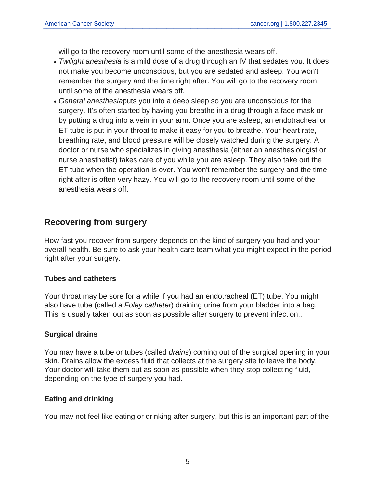will go to the recovery room until some of the anesthesia wears off.

- Twilight anesthesia is a mild dose of a drug through an IV that sedates you. It does not make you become unconscious, but you are sedated and asleep. You won't remember the surgery and the time right after. You will go to the recovery room until some of the anesthesia wears off.
- General anesthesiaputs you into a deep sleep so you are unconscious for the surgery. It's often started by having you breathe in a drug through a face mask or by putting a drug into a vein in your arm. Once you are asleep, an endotracheal or ET tube is put in your throat to make it easy for you to breathe. Your heart rate, breathing rate, and blood pressure will be closely watched during the surgery. A doctor or nurse who specializes in giving anesthesia (either an anesthesiologist or nurse anesthetist) takes care of you while you are asleep. They also take out the ET tube when the operation is over. You won't remember the surgery and the time right after is often very hazy. You will go to the recovery room until some of the anesthesia wears off.

# **Recovering from surgery**

How fast you recover from surgery depends on the kind of surgery you had and your overall health. Be sure to ask your health care team what you might expect in the period right after your surgery.

### **Tubes and catheters**

Your throat may be sore for a while if you had an endotracheal (ET) tube. You might also have tube (called a Foley catheter) draining urine from your bladder into a bag. This is usually taken out as soon as possible after surgery to prevent infection..

## **Surgical drains**

You may have a tube or tubes (called *drains*) coming out of the surgical opening in your skin. Drains allow the excess fluid that collects at the surgery site to leave the body. Your doctor will take them out as soon as possible when they stop collecting fluid, depending on the type of surgery you had.

### **Eating and drinking**

You may not feel like eating or drinking after surgery, but this is an important part of the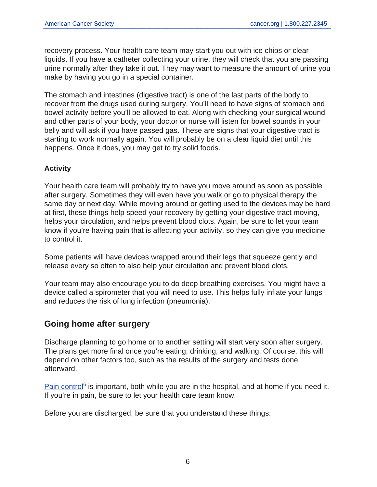recovery process. Your health care team may start you out with ice chips or clear liquids. If you have a catheter collecting your urine, they will check that you are passing urine normally after they take it out. They may want to measure the amount of urine you make by having you go in a special container.

The stomach and intestines (digestive tract) is one of the last parts of the body to recover from the drugs used during surgery. You'll need to have signs of stomach and bowel activity before you'll be allowed to eat. Along with checking your surgical wound and other parts of your body, your doctor or nurse will listen for bowel sounds in your belly and will ask if you have passed gas. These are signs that your digestive tract is starting to work normally again. You will probably be on a clear liquid diet until this happens. Once it does, you may get to try solid foods.

## **Activity**

Your health care team will probably try to have you move around as soon as possible after surgery. Sometimes they will even have you walk or go to physical therapy the same day or next day. While moving around or getting used to the devices may be hard at first, these things help speed your recovery by getting your digestive tract moving, helps your circulation, and helps prevent blood clots. Again, be sure to let your team know if you're having pain that is affecting your activity, so they can give you medicine to control it.

Some patients will have devices wrapped around their legs that squeeze gently and release every so often to also help your circulation and prevent blood clots.

Your team may also encourage you to do deep breathing exercises. You might have a device called a spirometer that you will need to use. This helps fully inflate your lungs and reduces the risk of lung infection (pneumonia).

# **Going home after surgery**

Discharge planning to go home or to another setting will start very soon after surgery. The plans get more final once you're eating, drinking, and walking. Of course, this will depend on other factors too, such as the results of the surgery and tests done afterward.

[Pain control](https://www.cancer.org/treatment/treatments-and-side-effects/physical-side-effects/pain.html)<sup>6</sup> is important, both while you are in the hospital, and at home if you need it. If you're in pain, be sure to let your health care team know.

Before you are discharged, be sure that you understand these things: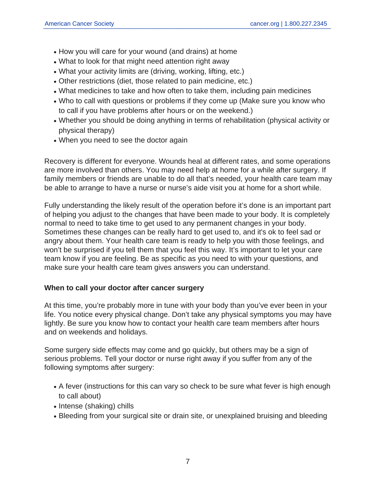- How you will care for your wound (and drains) at home
- What to look for that might need attention right away
- What your activity limits are (driving, working, lifting, etc.)
- Other restrictions (diet, those related to pain medicine, etc.)
- What medicines to take and how often to take them, including pain medicines
- Who to call with questions or problems if they come up (Make sure you know who to call if you have problems after hours or on the weekend.)
- Whether you should be doing anything in terms of rehabilitation (physical activity or physical therapy)
- When you need to see the doctor again

Recovery is different for everyone. Wounds heal at different rates, and some operations are more involved than others. You may need help at home for a while after surgery. If family members or friends are unable to do all that's needed, your health care team may be able to arrange to have a nurse or nurse's aide visit you at home for a short while.

Fully understanding the likely result of the operation before it's done is an important part of helping you adjust to the changes that have been made to your body. It is completely normal to need to take time to get used to any permanent changes in your body. Sometimes these changes can be really hard to get used to, and it's ok to feel sad or angry about them. Your health care team is ready to help you with those feelings, and won't be surprised if you tell them that you feel this way. It's important to let your care team know if you are feeling. Be as specific as you need to with your questions, and make sure your health care team gives answers you can understand.

### **When to call your doctor after cancer surgery**

At this time, you're probably more in tune with your body than you've ever been in your life. You notice every physical change. Don't take any physical symptoms you may have lightly. Be sure you know how to contact your health care team members after hours and on weekends and holidays.

Some surgery side effects may come and go quickly, but others may be a sign of serious problems. Tell your doctor or nurse right away if you suffer from any of the following symptoms after surgery:

- A fever (instructions for this can vary so check to be sure what fever is high enough to call about)
- Intense (shaking) chills
- Bleeding from your surgical site or drain site, or unexplained bruising and bleeding